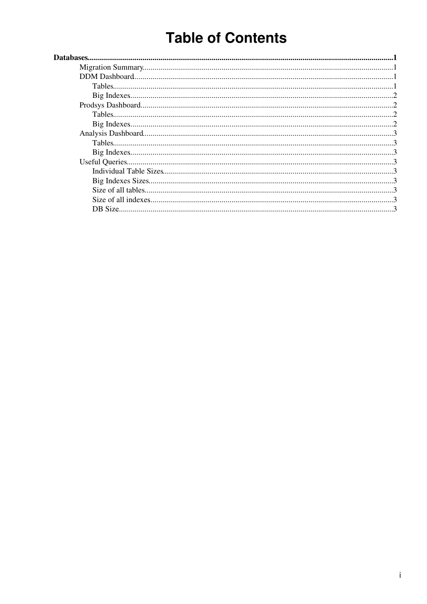# **Table of Contents**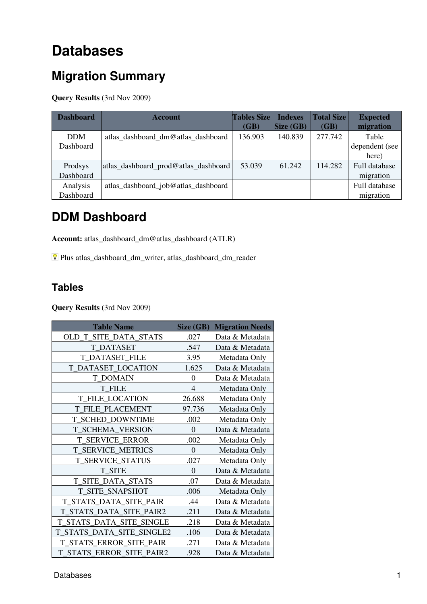# <span id="page-1-0"></span>**Databases**

## <span id="page-1-1"></span>**Migration Summary**

**Query Results** (3rd Nov 2009)

| <b>Dashboard</b> | <b>Account</b>                       | <b>Tables Size</b><br>(GB) | <b>Indexes</b><br>Size (GB) | <b>Total Size</b><br>(GB) | <b>Expected</b><br>migration |
|------------------|--------------------------------------|----------------------------|-----------------------------|---------------------------|------------------------------|
| <b>DDM</b>       | atlas dashboard dm@atlas dashboard   | 136.903                    | 140.839                     | 277.742                   | Table                        |
| Dashboard        |                                      |                            |                             |                           | dependent (see               |
|                  |                                      |                            |                             |                           | here)                        |
| Prodsys          | atlas_dashboard_prod@atlas_dashboard | 53.039                     | 61.242                      | 114.282                   | <b>Full database</b>         |
| Dashboard        |                                      |                            |                             |                           | migration                    |
| Analysis         | atlas_dashboard_job@atlas_dashboard  |                            |                             |                           | <b>Full database</b>         |
| Dashboard        |                                      |                            |                             |                           | migration                    |

### <span id="page-1-2"></span>**DDM Dashboard**

**Account:** atlas\_dashboard\_dm@atlas\_dashboard (ATLR)

Plus atlas\_dashboard\_dm\_writer, atlas\_dashboard\_dm\_reader

### <span id="page-1-3"></span>**Tables**

**Query Results** (3rd Nov 2009)

| <b>Table Name</b>         | Size (GB)      | <b>Migration Needs</b> |
|---------------------------|----------------|------------------------|
| OLD_T_SITE_DATA_STATS     | .027           | Data & Metadata        |
| <b>T DATASET</b>          | .547           | Data & Metadata        |
| <b>T_DATASET_FILE</b>     | 3.95           | Metadata Only          |
| <b>T_DATASET_LOCATION</b> | 1.625          | Data & Metadata        |
| <b>T DOMAIN</b>           | $\theta$       | Data & Metadata        |
| <b>T FILE</b>             | $\overline{4}$ | Metadata Only          |
| <b>T FILE LOCATION</b>    | 26.688         | Metadata Only          |
| <b>T_FILE_PLACEMENT</b>   | 97.736         | Metadata Only          |
| T_SCHED_DOWNTIME          | .002           | Metadata Only          |
| <b>T_SCHEMA_VERSION</b>   | $\theta$       | Data & Metadata        |
| <b>T SERVICE ERROR</b>    | .002           | Metadata Only          |
| T_SERVICE_METRICS         | $\overline{0}$ | Metadata Only          |
| <b>T_SERVICE_STATUS</b>   | .027           | Metadata Only          |
| <b>T_SITE</b>             | $\Omega$       | Data & Metadata        |
| T_SITE_DATA_STATS         | .07            | Data & Metadata        |
| T_SITE_SNAPSHOT           | .006           | Metadata Only          |
| T_STATS_DATA_SITE_PAIR    | .44            | Data & Metadata        |
| T_STATS_DATA_SITE_PAIR2   | .211           | Data & Metadata        |
| T_STATS_DATA_SITE_SINGLE  | .218           | Data & Metadata        |
| T_STATS_DATA_SITE_SINGLE2 | .106           | Data & Metadata        |
| T_STATS_ERROR_SITE_PAIR   | .271           | Data & Metadata        |
| T_STATS_ERROR_SITE_PAIR2  | .928           | Data & Metadata        |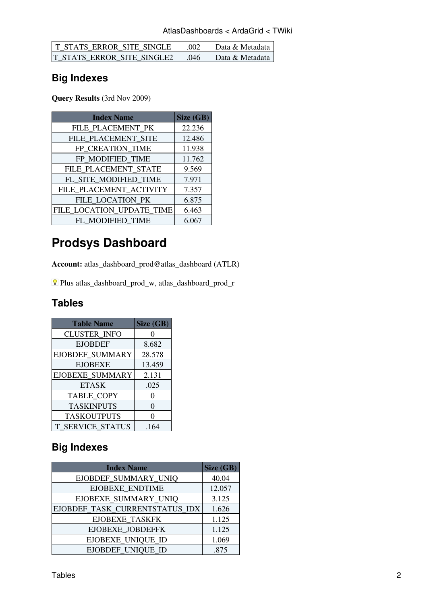| <b>T STATS ERROR SITE SINGLE</b> | -002 | Data & Metadata 1 |
|----------------------------------|------|-------------------|
| IT STATS ERROR SITE SINGLE2      | 046  | Data & Metadata   |

### <span id="page-2-0"></span>**Big Indexes**

**Query Results** (3rd Nov 2009)

| <b>Index Name</b>         | Size (GB) |
|---------------------------|-----------|
| FILE PLACEMENT PK         | 22.236    |
| FILE PLACEMENT SITE       | 12.486    |
| FP_CREATION_TIME          | 11.938    |
| FP MODIFIED TIME          | 11.762    |
| FILE_PLACEMENT_STATE      | 9.569     |
| FL_SITE_MODIFIED_TIME     | 7.971     |
| FILE_PLACEMENT_ACTIVITY   | 7.357     |
| FILE LOCATION PK          | 6.875     |
| FILE_LOCATION_UPDATE_TIME | 6.463     |
| FL MODIFIED TIME          | 6.067     |

## <span id="page-2-1"></span>**Prodsys Dashboard**

**Account:** atlas\_dashboard\_prod@atlas\_dashboard (ATLR)

Plus atlas\_dashboard\_prod\_w, atlas\_dashboard\_prod\_r

### <span id="page-2-2"></span>**Tables**

| <b>Table Name</b>      | Size (GB) |
|------------------------|-----------|
| <b>CLUSTER INFO</b>    |           |
| <b>EJOBDEF</b>         | 8.682     |
| EJOBDEF_SUMMARY        | 28.578    |
| <b>EJOBEXE</b>         | 13.459    |
| <b>EJOBEXE SUMMARY</b> | 2.131     |
| <b>ETASK</b>           | .025      |
| TABLE_COPY             | 0         |
| <b>TASKINPUTS</b>      | 0         |
| <b>TASKOUTPUTS</b>     | 0         |
| T SERVICE_STATUS       | .164      |

### <span id="page-2-3"></span>**Big Indexes**

| <b>Index Name</b>              | Size (GB) |
|--------------------------------|-----------|
| EJOBDEF_SUMMARY_UNIQ           | 40.04     |
| <b>EJOBEXE ENDTIME</b>         | 12.057    |
| EJOBEXE_SUMMARY_UNIQ           | 3.125     |
| EJOBDEF_TASK_CURRENTSTATUS_IDX | 1.626     |
| EJOBEXE_TASKFK                 | 1.125     |
| EJOBEXE_JOBDEFFK               | 1.125     |
| EJOBEXE_UNIQUE_ID              | 1.069     |
| EJOBDEF UNIQUE ID              | .875      |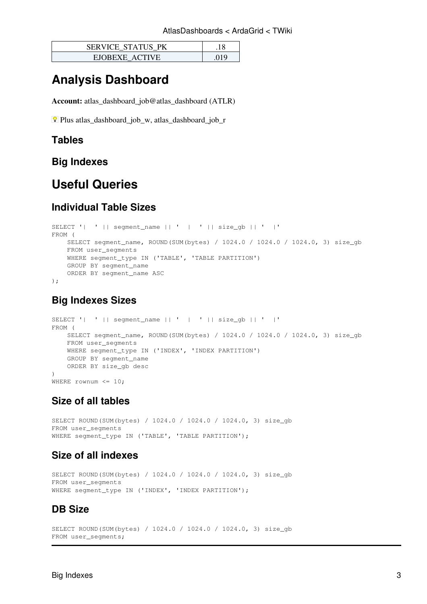| <b>SERVICE STATUS PK</b> |  |
|--------------------------|--|
| EIOBEXE ACTIVE           |  |

### <span id="page-3-0"></span>**Analysis Dashboard**

**Account:** atlas\_dashboard\_job@atlas\_dashboard (ATLR)

Plus atlas\_dashboard\_job\_w, atlas\_dashboard\_job\_r

#### <span id="page-3-1"></span>**Tables**

<span id="page-3-2"></span>**Big Indexes**

### <span id="page-3-3"></span>**Useful Queries**

#### <span id="page-3-4"></span>**Individual Table Sizes**

```
SELECT '| ' || segment_name || ' | ' || size_gb || ' |'
FROM (
    SELECT segment_name, ROUND(SUM(bytes) / 1024.0 / 1024.0 / 1024.0, 3) size_gb
    FROM user_segments
   WHERE segment type IN ('TABLE', 'TABLE PARTITION')
    GROUP BY segment_name
    ORDER BY segment_name ASC
);
```
#### <span id="page-3-5"></span>**Big Indexes Sizes**

```
SELECT '| ' || segment_name || ' | ' || size_gb || ' |'
FROM (
    SELECT segment_name, ROUND(SUM(bytes) / 1024.0 / 1024.0 / 1024.0, 3) size_gb
    FROM user_segments
    WHERE segment_type IN ('INDEX', 'INDEX PARTITION')
    GROUP BY segment_name
    ORDER BY size_gb desc
)
WHERE rownum \leq 10;
```
### <span id="page-3-6"></span>**Size of all tables**

SELECT ROUND(SUM(bytes) / 1024.0 / 1024.0 / 1024.0, 3) size\_gb FROM user\_segments WHERE segment\_type IN ('TABLE', 'TABLE PARTITION');

#### <span id="page-3-7"></span>**Size of all indexes**

SELECT ROUND(SUM(bytes) / 1024.0 / 1024.0 / 1024.0, 3) size\_gb FROM user\_segments WHERE segment\_type IN ('INDEX', 'INDEX PARTITION');

#### <span id="page-3-8"></span>**DB Size**

```
SELECT ROUND(SUM(bytes) / 1024.0 / 1024.0 / 1024.0, 3) size_gb
FROM user_segments;
```